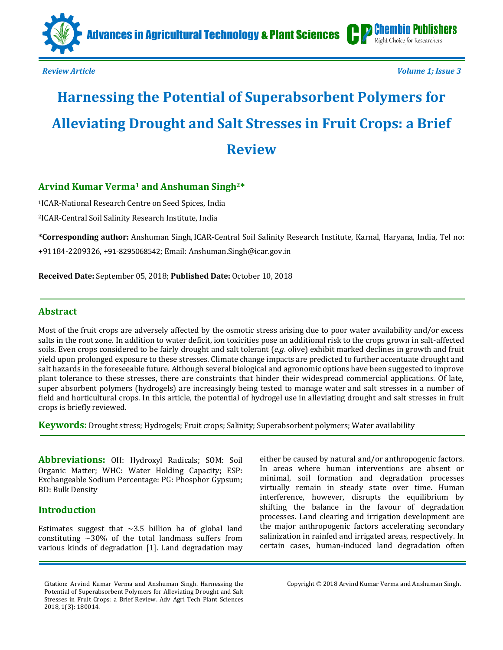

*[Review](https://chembiopublishers.com/mini-review.php) Article Volume 1; Issue 3*

Right Choice for Researchers

# **Harnessing the Potential of Superabsorbent Polymers for Alleviating Drought and Salt Stresses in Fruit Crops: a Brief Review**

# **Arvind Kumar Verma<sup>1</sup> and Anshuman Singh2\***

<sup>1</sup>ICAR-National Research Centre on Seed Spices, India <sup>2</sup>ICAR-Central Soil Salinity Research Institute, India

**\*Corresponding author:** Anshuman Singh,ICAR-Central Soil Salinity Research Institute, Karnal, Haryana, India, Tel no: +91184-2209326, +91-8295068542; Email: [Anshuman.Singh@icar.gov.in](mailto:Anshuman.Singh@icar.gov.in)

**Received Date:** September 05, 2018; **Published Date:** October 10, 2018

# **Abstract**

Most of the fruit crops are adversely affected by the osmotic stress arising due to poor water availability and/or excess salts in the root zone. In addition to water deficit, ion toxicities pose an additional risk to the crops grown in salt-affected soils. Even crops considered to be fairly drought and salt tolerant (*e.g*. olive) exhibit marked declines in growth and fruit yield upon prolonged exposure to these stresses. Climate change impacts are predicted to further accentuate drought and salt hazards in the foreseeable future. Although several biological and agronomic options have been suggested to improve plant tolerance to these stresses, there are constraints that hinder their widespread commercial applications. Of late, super absorbent polymers (hydrogels) are increasingly being tested to manage water and salt stresses in a number of field and horticultural crops. In this article, the potential of hydrogel use in alleviating drought and salt stresses in fruit crops is briefly reviewed.

**Keywords:** Drought stress; Hydrogels; Fruit crops; Salinity; Superabsorbent polymers; Water availability

**Abbreviations:** OH: Hydroxyl Radicals; SOM: Soil Organic Matter; WHC: Water Holding Capacity; ESP: Exchangeable Sodium Percentage: PG: Phosphor Gypsum; BD: Bulk Density

# **Introduction**

Estimates suggest that  $\sim$ 3.5 billion ha of global land constituting  $\sim$ 30% of the total landmass suffers from various kinds of degradation [1]. Land degradation may

Citation: Arvind Kumar Verma and Anshuman Singh. Harnessing the Potential of Superabsorbent Polymers for Alleviating Drought and Salt Stresses in Fruit Crops: a Brief Review. Adv Agri Tech Plant Sciences 2018, 1(3): 180014.

either be caused by natural and/or anthropogenic factors. In areas where human interventions are absent or minimal, soil formation and degradation processes virtually remain in steady state over time. Human interference, however, disrupts the equilibrium by shifting the balance in the favour of degradation processes. Land clearing and irrigation development are the major anthropogenic factors accelerating secondary salinization in rainfed and irrigated areas, respectively. In certain cases, human-induced land degradation often

Copyright © 2018 Arvind Kumar Verma and Anshuman Singh.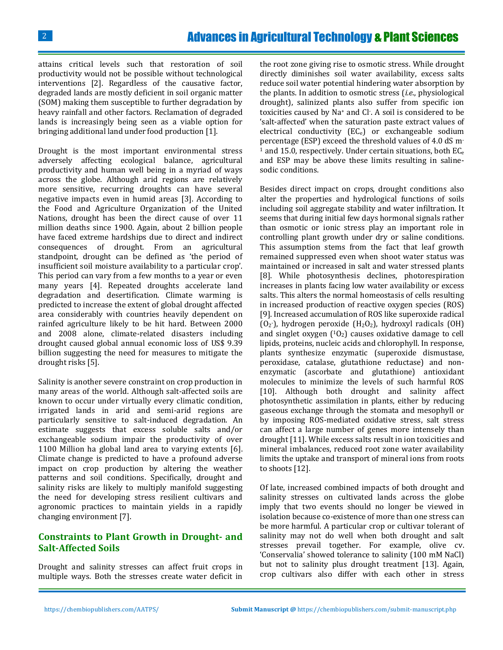attains critical levels such that restoration of soil productivity would not be possible without technological interventions [2]. Regardless of the causative factor, degraded lands are mostly deficient in soil organic matter (SOM) making them susceptible to further degradation by heavy rainfall and other factors. Reclamation of degraded lands is increasingly being seen as a viable option for bringing additional land under food production [1].

Drought is the most important environmental stress adversely affecting ecological balance, agricultural productivity and human well being in a myriad of ways across the globe. Although arid regions are relatively more sensitive, recurring droughts can have several negative impacts even in humid areas [3]. According to the Food and Agriculture Organization of the United Nations, drought has been the direct cause of over 11 million deaths since 1900. Again, about 2 billion people have faced extreme hardships due to direct and indirect consequences of drought. From an agricultural standpoint, drought can be defined as 'the period of insufficient soil moisture availability to a particular crop'. This period can vary from a few months to a year or even many years [4]. Repeated droughts accelerate land degradation and desertification. Climate warming is predicted to increase the extent of global drought affected area considerably with countries heavily dependent on rainfed agriculture likely to be hit hard. Between 2000 and 2008 alone, climate-related disasters including drought caused global annual economic loss of US\$ 9.39 billion suggesting the need for measures to mitigate the drought risks [5].

Salinity is another severe constraint on crop production in many areas of the world. Although salt-affected soils are known to occur under virtually every climatic condition, irrigated lands in arid and semi-arid regions are particularly sensitive to salt-induced degradation. An estimate suggests that excess soluble salts and/or exchangeable sodium impair the productivity of over 1100 Million ha global land area to varying extents [6]. Climate change is predicted to have a profound adverse impact on crop production by altering the weather patterns and soil conditions. Specifically, drought and salinity risks are likely to multiply manifold suggesting the need for developing stress resilient cultivars and agronomic practices to maintain yields in a rapidly changing environment [7].

# **Constraints to Plant Growth in Drought- and Salt-Affected Soils**

Drought and salinity stresses can affect fruit crops in multiple ways. Both the stresses create water deficit in the root zone giving rise to osmotic stress. While drought directly diminishes soil water availability, excess salts reduce soil water potential hindering water absorption by the plants. In addition to osmotic stress (*i.e*., physiological drought), salinized plants also suffer from specific ion toxicities caused by Na<sup>+</sup> and Cl - . A soil is considered to be 'salt-affected' when the saturation paste extract values of electrical conductivity  $(EC_e)$  or exchangeable sodium percentage (ESP) exceed the threshold values of 4.0 dS m-<sup>1</sup> and 15.0, respectively. Under certain situations, both  $EC_e$ and ESP may be above these limits resulting in salinesodic conditions.

Besides direct impact on crops, drought conditions also alter the properties and hydrological functions of soils including soil aggregate stability and water infiltration. It seems that during initial few days hormonal signals rather than osmotic or ionic stress play an important role in controlling plant growth under dry or saline conditions. This assumption stems from the fact that leaf growth remained suppressed even when shoot water status was maintained or increased in salt and water stressed plants [8]. While photosynthesis declines, photorespiration increases in plants facing low water availability or excess salts. This alters the normal homeostasis of cells resulting in increased production of reactive oxygen species (ROS) [9]. Increased accumulation of ROS like superoxide radical  $(0<sub>2</sub>)$ , hydrogen peroxide  $(H<sub>2</sub>0<sub>2</sub>)$ , hydroxyl radicals  $(OH)$ and singlet oxygen  $(10<sub>2</sub>)$  causes oxidative damage to cell lipids, proteins, nucleic acids and chlorophyll. In response, plants synthesize enzymatic (superoxide dismustase, peroxidase, catalase, glutathione reductase) and nonenzymatic (ascorbate and glutathione) antioxidant molecules to minimize the levels of such harmful ROS [10]. Although both drought and salinity affect photosynthetic assimilation in plants, either by reducing gaseous exchange through the stomata and mesophyll or by imposing ROS-mediated oxidative stress, salt stress can affect a large number of genes more intensely than drought [11]. While excess salts result in ion toxicities and mineral imbalances, reduced root zone water availability limits the uptake and transport of mineral ions from roots to shoots [12].

Of late, increased combined impacts of both drought and salinity stresses on cultivated lands across the globe imply that two events should no longer be viewed in isolation because co-existence of more than one stress can be more harmful. A particular crop or cultivar tolerant of salinity may not do well when both drought and salt stresses prevail together. For example, olive cv. 'Conservalia' showed tolerance to salinity (100 mM NaCl) but not to salinity plus drought treatment [13]. Again, crop cultivars also differ with each other in stress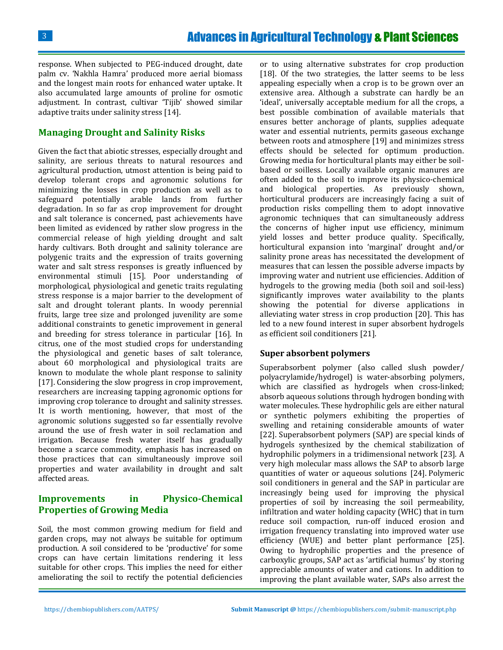response. When subjected to PEG-induced drought, date palm cv. 'Nakhla Hamra' produced more aerial biomass and the longest main roots for enhanced water uptake. It also accumulated large amounts of proline for osmotic adjustment. In contrast, cultivar 'Tijib' showed similar adaptive traits under salinity stress [14].

# **Managing Drought and Salinity Risks**

Given the fact that abiotic stresses, especially drought and salinity, are serious threats to natural resources and agricultural production, utmost attention is being paid to develop tolerant crops and agronomic solutions for minimizing the losses in crop production as well as to safeguard potentially arable lands from further degradation. In so far as crop improvement for drought and salt tolerance is concerned, past achievements have been limited as evidenced by rather slow progress in the commercial release of high yielding drought and salt hardy cultivars. Both drought and salinity tolerance are polygenic traits and the expression of traits governing water and salt stress responses is greatly influenced by environmental stimuli [15]. Poor understanding of morphological, physiological and genetic traits regulating stress response is a major barrier to the development of salt and drought tolerant plants. In woody perennial fruits, large tree size and prolonged juvenility are some additional constraints to genetic improvement in general and breeding for stress tolerance in particular [16]. In citrus, one of the most studied crops for understanding the physiological and genetic bases of salt tolerance, about 60 morphological and physiological traits are known to modulate the whole plant response to salinity [17]. Considering the slow progress in crop improvement, researchers are increasing tapping agronomic options for improving crop tolerance to drought and salinity stresses. It is worth mentioning, however, that most of the agronomic solutions suggested so far essentially revolve around the use of fresh water in soil reclamation and irrigation. Because fresh water itself has gradually become a scarce commodity, emphasis has increased on those practices that can simultaneously improve soil properties and water availability in drought and salt affected areas.

# **Improvements in Physico-Chemical Properties of Growing Media**

Soil, the most common growing medium for field and garden crops, may not always be suitable for optimum production. A soil considered to be 'productive' for some crops can have certain limitations rendering it less suitable for other crops. This implies the need for either ameliorating the soil to rectify the potential deficiencies

or to using alternative substrates for crop production [18]. Of the two strategies, the latter seems to be less appealing especially when a crop is to be grown over an extensive area. Although a substrate can hardly be an 'ideal', universally acceptable medium for all the crops, a best possible combination of available materials that ensures better anchorage of plants, supplies adequate water and essential nutrients, permits gaseous exchange between roots and atmosphere [19] and minimizes stress effects should be selected for optimum production. Growing media for horticultural plants may either be soilbased or soilless. Locally available organic manures are often added to the soil to improve its physico-chemical and biological properties. As previously shown, horticultural producers are increasingly facing a suit of production risks compelling them to adopt innovative agronomic techniques that can simultaneously address the concerns of higher input use efficiency, minimum yield losses and better produce quality. Specifically, horticultural expansion into 'marginal' drought and/or salinity prone areas has necessitated the development of measures that can lessen the possible adverse impacts by improving water and nutrient use efficiencies. Addition of hydrogels to the growing media (both soil and soil-less) significantly improves water availability to the plants showing the potential for diverse applications in alleviating water stress in crop production [20]. This has led to a new found interest in super absorbent hydrogels as efficient soil conditioners [21].

#### **Super absorbent polymers**

Superabsorbent polymer (also called slush powder/ polyacrylamide/hydrogel) is water-absorbing polymers, which are classified as hydrogels when cross-linked; absorb aqueous solutions through hydrogen bonding with water molecules. These hydrophilic gels are either natural or synthetic polymers exhibiting the properties of swelling and retaining considerable amounts of water [22]. Superabsorbent polymers (SAP) are special kinds of hydrogels synthesized by the chemical stabilization of hydrophilic polymers in a tridimensional network [23]. A very high molecular mass allows the SAP to absorb large quantities of water or aqueous solutions [24]. Polymeric soil conditioners in general and the SAP in particular are increasingly being used for improving the physical properties of soil by increasing the soil permeability, infiltration and water holding capacity (WHC) that in turn reduce soil compaction, run-off induced erosion and irrigation frequency translating into improved water use efficiency (WUE) and better plant performance [25]. Owing to hydrophilic properties and the presence of carboxylic groups, SAP act as 'artificial humus' by storing appreciable amounts of water and cations. In addition to improving the plant available water, SAPs also arrest the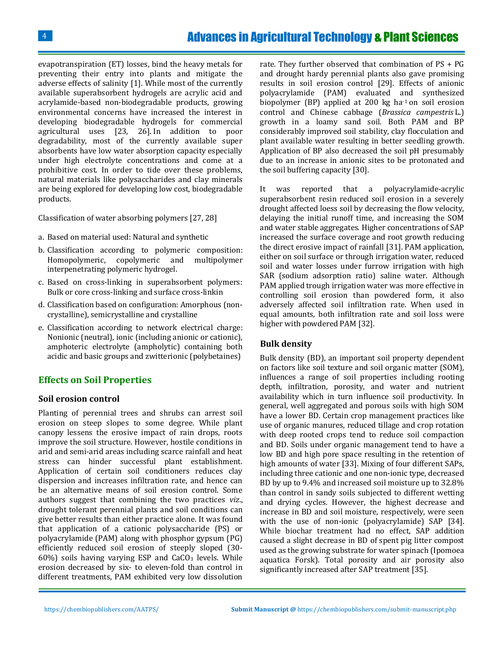evapotranspiration (ET) losses, bind the heavy metals for preventing their entry into plants and mitigate the adverse effects of salinity [1]. While most of the currently available superabsorbent hydrogels are acrylic acid and acrylamide-based non-biodegradable products, growing environmental concerns have increased the interest in developing biodegradable hydrogels for commercial agricultural uses [23, 26]. In addition to poor degradability, most of the currently available super absorbents have low water absorption capacity especially under high electrolyte concentrations and come at a prohibitive cost. In order to tide over these problems, natural materials like polysaccharides and clay minerals are being explored for developing low cost, biodegradable products.

Classification of water absorbing polymers [27, 28]

- a. Based on material used: Natural and synthetic
- b. Classification according to polymeric composition: Homopolymeric, copolymeric and multipolymer interpenetrating polymeric hydrogel.
- c. Based on cross-linking in superabsorbent polymers: Bulk or core cross-linking and surface cross-linkin
- d. Classification based on configuration: Amorphous (noncrystalline), semicrystalline and crystalline
- e. Classification according to network electrical charge: Nonionic (neutral), ionic (including anionic or cationic), amphoteric electrolyte (ampholytic) containing both acidic and basic groups and zwitterionic (polybetaines)

# **Effects on Soil Properties**

#### **Soil erosion control**

Planting of perennial trees and shrubs can arrest soil erosion on steep slopes to some degree. While plant canopy lessens the erosive impact of rain drops, roots improve the soil structure. However, hostile conditions in arid and semi-arid areas including scarce rainfall and heat stress can hinder successful plant establishment. Application of certain soil conditioners reduces clay dispersion and increases infiltration rate, and hence can be an alternative means of soil erosion control. Some authors suggest that combining the two practices *viz*., drought tolerant perennial plants and soil conditions can give better results than either practice alone. It was found that application of a cationic polysaccharide (PS) or polyacrylamide (PAM) along with phosphor gypsum (PG) efficiently reduced soil erosion of steeply sloped (30-  $60\%$ ) soils having varying ESP and CaCO<sub>3</sub> levels. While erosion decreased by six- to eleven-fold than control in different treatments, PAM exhibited very low dissolution

rate. They further observed that combination of PS + PG and drought hardy perennial plants also gave promising results in soil erosion control [29]. Effects of anionic polyacrylamide (PAM) evaluated and synthesized biopolymer (BP) applied at 200 kg ha-1 on soil erosion control and Chinese cabbage (*Brassica campestris* L.) growth in a loamy sand soil. Both PAM and BP considerably improved soil stability, clay flocculation and plant available water resulting in better seedling growth. Application of BP also decreased the soil pH presumably due to an increase in anionic sites to be protonated and the soil buffering capacity [30].

It was reported that a polyacrylamide-acrylic superabsorbent resin reduced soil erosion in a severely drought affected loess soil by decreasing the flow velocity, delaying the initial runoff time, and increasing the SOM and water stable aggregates. Higher concentrations of SAP increased the surface coverage and root growth reducing the direct erosive impact of rainfall [31]. PAM application, either on soil surface or through irrigation water, reduced soil and water losses under furrow irrigation with high SAR (sodium adsorption ratio) saline water. Although PAM applied trough irrigation water was more effective in controlling soil erosion than powdered form, it also adversely affected soil infiltration rate. When used in equal amounts, both infiltration rate and soil loss were higher with powdered PAM [32].

#### **Bulk density**

Bulk density (BD), an important soil property dependent on factors like soil texture and soil organic matter (SOM), influences a range of soil properties including rooting depth, infiltration, porosity, and water and nutrient availability which in turn influence soil productivity. In general, well aggregated and porous soils with high SOM have a lower BD. Certain crop management practices like use of organic manures, reduced tillage and crop rotation with deep rooted crops tend to reduce soil compaction and BD. Soils under organic management tend to have a low BD and high pore space resulting in the retention of high amounts of water [33]. Mixing of four different SAPs, including three cationic and one non-ionic type, decreased BD by up to 9.4% and increased soil moisture up to 32.8% than control in sandy soils subjected to different wetting and drying cycles. However, the highest decrease and increase in BD and soil moisture, respectively, were seen with the use of non-ionic (polyacrylamide) SAP [34]. While biochar treatment had no effect, SAP addition caused a slight decrease in BD of spent pig litter compost used as the growing substrate for water spinach (Ipomoea aquatica Forsk). Total porosity and air porosity also significantly increased after SAP treatment [35].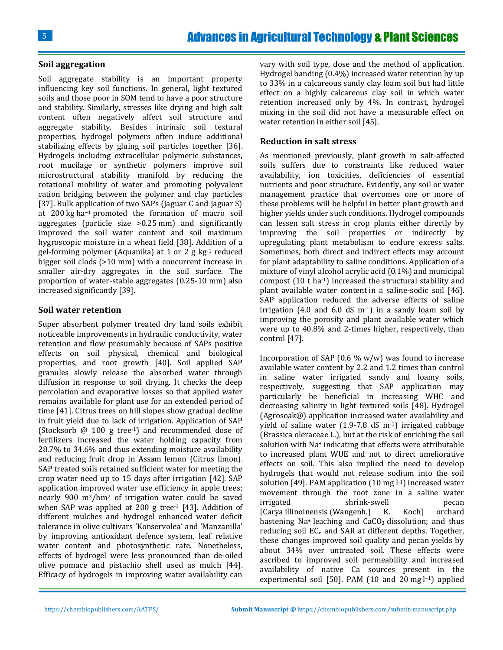#### **Soil aggregation**

Soil aggregate stability is an important property influencing key soil functions. In general, light textured soils and those poor in SOM tend to have a poor structure and stability. Similarly, stresses like drying and high salt content often negatively affect soil structure and aggregate stability. Besides intrinsic soil textural properties, hydrogel polymers often induce additional stabilizing effects by gluing soil particles together [36]. Hydrogels including extracellular polymeric substances, root mucilage or synthetic polymers improve soil microstructural stability manifold by reducing the rotational mobility of water and promoting polyvalent cation bridging between the polymer and clay particles [37]. Bulk application of two SAPs (Jaguar C and Jaguar S) at 200 kg ha−1 promoted the formation of macro soil aggregates (particle size >0.25 mm) and significantly improved the soil water content and soil maximum hygroscopic moisture in a wheat field [38]. Addition of a gel-forming polymer (Aquanika) at 1 or 2 g kg-1 reduced bigger soil clods (>10 mm) with a concurrent increase in smaller air-dry aggregates in the soil surface. The proportion of water-stable aggregates (0.25-10 mm) also increased significantly [39].

#### **Soil water retention**

Super absorbent polymer treated dry land soils exhibit noticeable improvements in hydraulic conductivity, water retention and flow presumably because of SAPs positive effects on soil physical, chemical and biological properties, and root growth [40]. Soil applied SAP granules slowly release the absorbed water through diffusion in response to soil drying. It checks the deep percolation and evaporative losses so that applied water remains available for plant use for an extended period of time [41]. Citrus trees on hill slopes show gradual decline in fruit yield due to lack of irrigation. Application of SAP (Stocksorb @ 100 g tree-1) and recommended dose of fertilizers increased the water holding capacity from 28.7% to 34.6% and thus extending moisture availability and reducing fruit drop in Assam lemon (Citrus limon). SAP treated soils retained sufficient water for meeting the crop water need up to 15 days after irrigation [42]. SAP application improved water use efficiency in apple trees; nearly 900 m3/hm<sup>2</sup> of irrigation water could be saved when SAP was applied at 200 g tree-1 [43]. Addition of different mulches and hydrogel enhanced water deficit tolerance in olive cultivars 'Konservolea' and 'Manzanilla' by improving antioxidant defence system, leaf relative water content and photosynthetic rate. Nonetheless, effects of hydrogel were less pronounced than de-oiled olive pomace and pistachio shell used as mulch [44]. Efficacy of hydrogels in improving water availability can vary with soil type, dose and the method of application. Hydrogel banding (0.4%) increased water retention by up to 33% in a calcareous sandy clay loam soil but had little effect on a highly calcareous clay soil in which water retention increased only by 4%. In contrast, hydrogel mixing in the soil did not have a measurable effect on water retention in either soil [45].

#### **Reduction in salt stress**

As mentioned previously, plant growth in salt-affected soils suffers due to constraints like reduced water availability, ion toxicities, deficiencies of essential nutrients and poor structure. Evidently, any soil or water management practice that overcomes one or more of these problems will be helpful in better plant growth and higher yields under such conditions. Hydrogel compounds can lessen salt stress in crop plants either directly by improving the soil properties or indirectly by upregulating plant metabolism to endure excess salts. Sometimes, both direct and indirect effects may account for plant adaptability to saline conditions. Application of a mixture of vinyl alcohol acrylic acid (0.1%) and municipal compost (10 t ha-1) increased the structural stability and plant available water content in a saline-sodic soil [46]. SAP application reduced the adverse effects of saline irrigation (4.0 and 6.0 dS  $m<sup>-1</sup>$ ) in a sandy loam soil by improving the porosity and plant available water which were up to 40.8% and 2-times higher, respectively, than control [47].

Incorporation of SAP (0.6  $\%$  w/w) was found to increase available water content by 2.2 and 1.2 times than control in saline water irrigated sandy and loamy soils, respectively, suggesting that SAP application may particularly be beneficial in increasing WHC and decreasing salinity in light textured soils [48]. Hydrogel (Agrosoak®) application increased water availability and yield of saline water (1.9-7.8 dS m-1) irrigated cabbage (Brassica oleraceae L.), but at the risk of enriching the soil solution with Na<sup>+</sup> indicating that effects were attributable to increased plant WUE and not to direct ameliorative effects on soil. This also implied the need to develop hydrogels that would not release sodium into the soil solution [49]. PAM application  $(10 \text{ mg }<sup>11</sup>)$  increased water movement through the root zone in a saline water irrigated shrink-swell pecan [Carya illinoinensis (Wangenh.) K. Koch] orchard hastening  $Na<sup>+</sup>$  leaching and  $CaCO<sub>3</sub>$  dissolution; and thus reducing soil EC<sub>e</sub> and SAR at different depths. Together, these changes improved soil quality and pecan yields by about 34% over untreated soil. These effects were ascribed to improved soil permeability and increased availability of native Ca sources present in the experimental soil [50]. PAM  $(10 \text{ and } 20 \text{ mg l-1})$  applied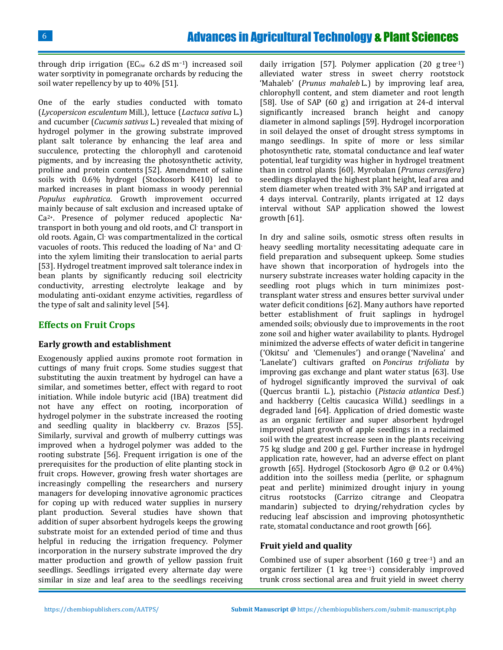through drip irrigation ( $EC_{iw}$  6.2 dS m<sup>-1</sup>) increased soil water sorptivity in pomegranate orchards by reducing the soil water repellency by up to 40% [51].

One of the early studies conducted with tomato (*Lycopersicon esculentum* Mill.), lettuce (*Lactuca sativa* L.) and cucumber (*Cucumis sativus* L.) revealed that mixing of hydrogel polymer in the growing substrate improved plant salt tolerance by enhancing the leaf area and succulence, protecting the chlorophyll and carotenoid pigments, and by increasing the photosynthetic activity, proline and protein contents [52]. Amendment of saline soils with 0.6% hydrogel (Stockosorb K410) led to marked increases in plant biomass in woody perennial *Populus euphratica*. Growth improvement occurred mainly because of salt exclusion and increased uptake of Ca2+. Presence of polymer reduced apoplectic Na<sup>+</sup> transport in both young and old roots, and Cl- transport in old roots. Again, Cl- was compartmentalized in the cortical vacuoles of roots. This reduced the loading of Na<sup>+</sup> and Clinto the xylem limiting their translocation to aerial parts [53]. Hydrogel treatment improved salt tolerance index in bean plants by significantly reducing soil electricity conductivity, arresting electrolyte leakage and by modulating anti-oxidant enzyme activities, regardless of the type of salt and salinity level [54].

# **Effects on Fruit Crops**

#### **Early growth and establishment**

Exogenously applied auxins promote root formation in cuttings of many fruit crops. Some studies suggest that substituting the auxin treatment by hydrogel can have a similar, and sometimes better, effect with regard to root initiation. While indole butyric acid (IBA) treatment did not have any effect on rooting, incorporation of hydrogel polymer in the substrate increased the rooting and seedling quality in blackberry cv. Brazos [55]. Similarly, survival and growth of mulberry cuttings was improved when a hydrogel polymer was added to the rooting substrate [56]. Frequent irrigation is one of the prerequisites for the production of elite planting stock in fruit crops. However, growing fresh water shortages are increasingly compelling the researchers and nursery managers for developing innovative agronomic practices for coping up with reduced water supplies in nursery plant production. Several studies have shown that addition of super absorbent hydrogels keeps the growing substrate moist for an extended period of time and thus helpful in reducing the irrigation frequency. Polymer incorporation in the nursery substrate improved the dry matter production and growth of yellow passion fruit seedlings. Seedlings irrigated every alternate day were similar in size and leaf area to the seedlings receiving

daily irrigation [57]. Polymer application  $(20 \text{ g tree-1})$ alleviated water stress in sweet cherry rootstock 'Mahaleb' (*Prunus mahaleb* L.) by improving leaf area, chlorophyll content, and stem diameter and root length [58]. Use of SAP (60 g) and irrigation at 24-d interval significantly increased branch height and canopy diameter in almond saplings [59]. Hydrogel incorporation in soil delayed the onset of drought stress symptoms in mango seedlings. In spite of more or less similar photosynthetic rate, stomatal conductance and leaf water potential, leaf turgidity was higher in hydrogel treatment than in control plants [60]. Myrobalan (*Prunus cerasifera*) seedlings displayed the highest plant height, leaf area and stem diameter when treated with 3% SAP and irrigated at 4 days interval. Contrarily, plants irrigated at 12 days interval without SAP application showed the lowest growth [61].

In dry and saline soils, osmotic stress often results in heavy seedling mortality necessitating adequate care in field preparation and subsequent upkeep. Some studies have shown that incorporation of hydrogels into the nursery substrate increases water holding capacity in the seedling root plugs which in turn minimizes posttransplant water stress and ensures better survival under water deficit conditions [62]. Many authors have reported better establishment of fruit saplings in hydrogel amended soils; obviously due to improvements in the root zone soil and higher water availability to plants. Hydrogel minimized the adverse effects of water deficit in tangerine ('Okitsu' and 'Clemenules') and orange ('Navelina' and 'Lanelate') cultivars grafted on *Poncirus trifoliata* by improving gas exchange and plant water status [63]. Use of hydrogel significantly improved the survival of oak (Quercus brantii L.), pistachio (*Pistacia atlantica* Desf.) and hackberry (Celtis caucasica Willd.) seedlings in a degraded land [64]. Application of dried domestic waste as an organic fertilizer and super absorbent hydrogel improved plant growth of apple seedlings in a reclaimed soil with the greatest increase seen in the plants receiving 75 kg sludge and 200 g gel. Further increase in hydrogel application rate, however, had an adverse effect on plant growth [65]. Hydrogel (Stockosorb Agro @ 0.2 or 0.4%) addition into the soilless media (perlite, or sphagnum peat and perlite) minimized drought injury in young citrus rootstocks (Carrizo citrange and Cleopatra mandarin) subjected to drying/rehydration cycles by reducing leaf abscission and improving photosynthetic rate, stomatal conductance and root growth [66].

#### **Fruit yield and quality**

Combined use of super absorbent (160 g tree-1) and an organic fertilizer (1 kg tree-1) considerably improved trunk cross sectional area and fruit yield in sweet cherry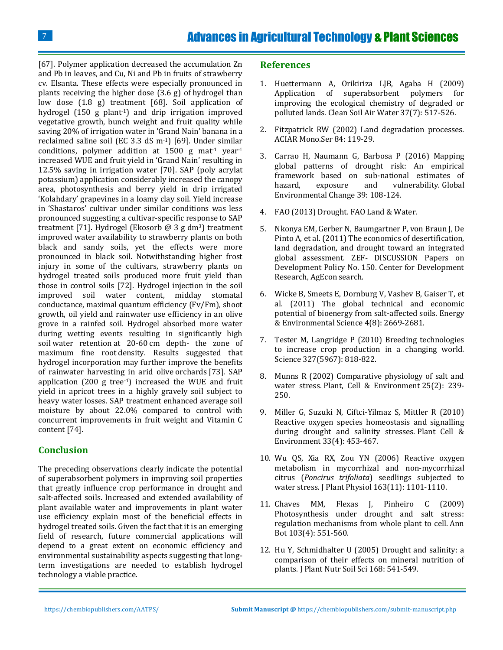[67]. Polymer application decreased the accumulation Zn and Pb in leaves, and Cu, Ni and Pb in fruits of strawberry cv. Elsanta. These effects were especially pronounced in plants receiving the higher dose (3.6 g) of hydrogel than low dose (1.8 g) treatment [68]. Soil application of hydrogel (150 g plant-1) and drip irrigation improved vegetative growth, bunch weight and fruit quality while saving 20% of irrigation water in 'Grand Nain' banana in a reclaimed saline soil (EC 3.3 dS m-1) [69]. Under similar conditions, polymer addition at  $1500 \text{ g}$  mat<sup>-1</sup> year<sup>-1</sup> increased WUE and fruit yield in 'Grand Nain' resulting in 12.5% saving in irrigation water [70]. SAP (poly acrylat potassium) application considerably increased the canopy area, photosynthesis and berry yield in drip irrigated 'Kolahdary' grapevines in a loamy clay soil. Yield increase in 'Shastaros' cultivar under similar conditions was less pronounced suggesting a cultivar-specific response to SAP treatment [71]. Hydrogel (Ekosorb  $\omega$  3 g dm<sup>3</sup>) treatment improved water availability to strawberry plants on both black and sandy soils, yet the effects were more pronounced in black soil. Notwithstanding higher frost injury in some of the cultivars, strawberry plants on hydrogel treated soils produced more fruit yield than those in control soils [72]. Hydrogel injection in the soil improved soil water content, midday stomatal conductance, maximal quantum efficiency (Fv/Fm), shoot growth, oil yield and rainwater use efficiency in an olive grove in a rainfed soil. Hydrogel absorbed more water during wetting events resulting in significantly high soil water retention at 20-60 cm depth- the zone of maximum fine root density. Results suggested that hydrogel incorporation may further improve the benefits of rainwater harvesting in arid olive orchards [73]. SAP application (200 g tree-1) increased the WUE and fruit yield in apricot trees in a highly gravely soil subject to heavy water losses. SAP treatment enhanced average soil moisture by about 22.0% compared to control with concurrent improvements in fruit weight and Vitamin C content [74].

# **Conclusion**

The preceding observations clearly indicate the potential of superabsorbent polymers in improving soil properties that greatly influence crop performance in drought and salt-affected soils. Increased and extended availability of plant available water and improvements in plant water use efficiency explain most of the beneficial effects in hydrogel treated soils. Given the fact that it is an emerging field of research, future commercial applications will depend to a great extent on economic efficiency and environmental sustainability aspects suggesting that longterm investigations are needed to establish hydrogel technology a viable practice.

#### **References**

- 1. [Huettermann A, Orikiriza LJB, Agaba H \(2009\)](https://onlinelibrary.wiley.com/doi/abs/10.1002/clen.200900048)  [Application of superabsorbent polymers for](https://onlinelibrary.wiley.com/doi/abs/10.1002/clen.200900048)  [improving the ecological chemistry of degraded or](https://onlinelibrary.wiley.com/doi/abs/10.1002/clen.200900048)  polluted lands. [Clean Soil Air Water](https://onlinelibrary.wiley.com/doi/abs/10.1002/clen.200900048) 37(7): 517-526.
- 2. Fitzpatrick RW (2002) Land degradation processes. ACIAR Mono.Ser 84: 119-29.
- 3. [Carrao H, Naumann G, Barbosa P \(2016\) Mapping](https://www.sciencedirect.com/science/article/pii/S0959378016300565)  [global patterns of drought risk: An empirical](https://www.sciencedirect.com/science/article/pii/S0959378016300565)  [framework based on sub-national estimates of](https://www.sciencedirect.com/science/article/pii/S0959378016300565)  [hazard, exposure and vulnerability.](https://www.sciencedirect.com/science/article/pii/S0959378016300565) Global [Environmental Change](https://www.sciencedirect.com/science/article/pii/S0959378016300565) 39: 108-124.
- 4. [FAO \(2013\) Drought. FAO Land & Water.](http://www.fao.org/land-water/land-water/en/)
- 5. [Nkonya EM, Gerber N, Baumgartner P, von Braun J, De](https://ageconsearch.umn.edu/record/109326)  [Pinto A, et al. \(2011\) The economics of desertification,](https://ageconsearch.umn.edu/record/109326)  [land degradation, and drought toward an integrated](https://ageconsearch.umn.edu/record/109326)  [global assessment. ZEF-](https://ageconsearch.umn.edu/record/109326) DISCUSSION Papers on [Development Policy No. 150.](https://ageconsearch.umn.edu/record/109326) Center for Development [Research, AgEcon search.](https://ageconsearch.umn.edu/record/109326)
- 6. [Wicke B, Smeets E, Dornburg V, Vashev B, Gaiser T, et](http://pubs.rsc.org/en/Content/ArticleLanding/2011/EE/c1ee01029h#!divAbstract)  al. (2011) The [global technical and economic](http://pubs.rsc.org/en/Content/ArticleLanding/2011/EE/c1ee01029h#!divAbstract)  [potential of bioenergy from salt-affected soils. Energy](http://pubs.rsc.org/en/Content/ArticleLanding/2011/EE/c1ee01029h#!divAbstract)  [& Environmental Science 4\(8\): 2669-2681.](http://pubs.rsc.org/en/Content/ArticleLanding/2011/EE/c1ee01029h#!divAbstract)
- 7. [Tester M, Langridge P \(2010\) Breeding technologies](https://www.ncbi.nlm.nih.gov/pubmed/20150489)  [to increase crop production in a changing world.](https://www.ncbi.nlm.nih.gov/pubmed/20150489)  [Science 327\(5967\): 818-822.](https://www.ncbi.nlm.nih.gov/pubmed/20150489)
- 8. [Munns R \(2002\) Comparative physiology of salt and](https://www.ncbi.nlm.nih.gov/pubmed/11841667)  water stress. [Plant, Cell & Environment](https://www.ncbi.nlm.nih.gov/pubmed/11841667) 25(2): 239- [250.](https://www.ncbi.nlm.nih.gov/pubmed/11841667)
- 9. [Miller G, Suzuki N, Ciftci-Yilmaz S, Mittler R \(2010\)](https://www.ncbi.nlm.nih.gov/pubmed/19712065)  [Reactive oxygen species homeostasis and signalling](https://www.ncbi.nlm.nih.gov/pubmed/19712065)  [during drought and salinity stresses.](https://www.ncbi.nlm.nih.gov/pubmed/19712065) Plant Cell & Environment [33\(4\): 453-467.](https://www.ncbi.nlm.nih.gov/pubmed/19712065)
- 10. [Wu QS, Xia RX, Zou YN \(2006\) Reactive oxygen](https://www.ncbi.nlm.nih.gov/pubmed/17032615)  [metabolism in mycorrhizal and non-mycorrhizal](https://www.ncbi.nlm.nih.gov/pubmed/17032615)  citrus (*Poncirus trifoliata*[\) seedlings subjected to](https://www.ncbi.nlm.nih.gov/pubmed/17032615)  water stress. J Plant Physiol [163\(11\): 1101-1110.](https://www.ncbi.nlm.nih.gov/pubmed/17032615)
- 11. [Chaves MM, Flexas J, Pinheiro C \(2009\)](https://www.ncbi.nlm.nih.gov/pubmed/18662937)  [Photosynthesis under drought and salt stress:](https://www.ncbi.nlm.nih.gov/pubmed/18662937)  [regulation mechanisms from whole plant to cell.](https://www.ncbi.nlm.nih.gov/pubmed/18662937) Ann Bot [103\(4\): 551-560.](https://www.ncbi.nlm.nih.gov/pubmed/18662937)
- 12. [Hu Y, Schmidhalter U \(2005\) Drought and salinity: a](https://mediatum.ub.tum.de/doc/1304727/1304727.pdf)  [comparison of their effects on mineral nutrition of](https://mediatum.ub.tum.de/doc/1304727/1304727.pdf)  plants. J Plant Nutr Soil Sci [168: 541-549.](https://mediatum.ub.tum.de/doc/1304727/1304727.pdf)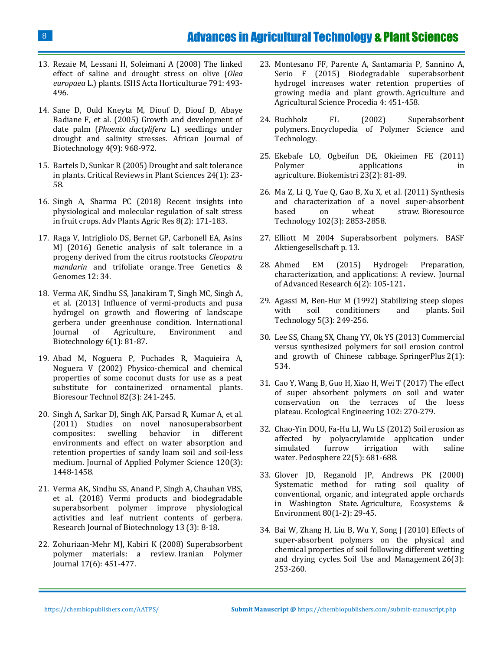# Advances in Agricultural Technology & Plant Sciences

- 13. [Rezaie M, Lessani H, Soleimani A \(2008\) The](https://www.actahort.org/books/791/791_75.htm) linked [effect of saline and drought stress on olive \(](https://www.actahort.org/books/791/791_75.htm)*Olea europaea* [L.\) plants. ISHS Acta Horticulturae 791: 493-](https://www.actahort.org/books/791/791_75.htm) [496.](https://www.actahort.org/books/791/791_75.htm)
- 14. [Sane D, Ould Kneyta M, Diouf D, Diouf D, Abaye](http://www.documentation.ird.fr/hor/fdi:010035414)  Badiane F, et al. [\(2005\) Growth and development of](http://www.documentation.ird.fr/hor/fdi:010035414)  date palm (*Phoenix dactylifera* [L.\) seedlings under](http://www.documentation.ird.fr/hor/fdi:010035414)  [drought and salinity stresses. African Journal of](http://www.documentation.ird.fr/hor/fdi:010035414)  [Biotechnology 4\(9\): 968-972.](http://www.documentation.ird.fr/hor/fdi:010035414)
- 15. [Bartels D, Sunkar R \(2005\) Drought and salt tolerance](https://www.tandfonline.com/doi/abs/10.1080/07352680590910410)  in plants. [Critical Reviews in Plant Sciences](https://www.tandfonline.com/doi/abs/10.1080/07352680590910410) 24(1): 23- [58.](https://www.tandfonline.com/doi/abs/10.1080/07352680590910410)
- 16. [Singh A, Sharma PC \(2018\) Recent](https://medcraveonline.com/APAR/APAR-08-00309.pdf) insights into [physiological and molecular regulation of salt stress](https://medcraveonline.com/APAR/APAR-08-00309.pdf)  [in fruit crops. Adv](https://medcraveonline.com/APAR/APAR-08-00309.pdf) Plants Agric Res 8(2): 171-183.
- 17. [Raga V, Intrigliolo DS, Bernet GP, Carbonell EA, Asins](https://link.springer.com/article/10.1007%2Fs11295-016-0991-1)  [MJ \(2016\) Genetic analysis of salt tolerance in a](https://link.springer.com/article/10.1007%2Fs11295-016-0991-1)  [progeny derived from the citrus rootstocks](https://link.springer.com/article/10.1007%2Fs11295-016-0991-1) *Cleopatra mandarin* [and trifoliate orange.](https://link.springer.com/article/10.1007%2Fs11295-016-0991-1) Tree Genetics & [Genomes](https://link.springer.com/article/10.1007%2Fs11295-016-0991-1) 12: 34.
- 18. [Verma AK, Sindhu SS, Janakiram T, Singh MC, Singh A,](http://www.indianjournals.com/ijor.aspx?target=ijor:ijaeb&volume=6&issue=1&article=016)  [et al. \(2013\) Influence of vermi-products and pusa](http://www.indianjournals.com/ijor.aspx?target=ijor:ijaeb&volume=6&issue=1&article=016)  [hydrogel on growth and flowering of landscape](http://www.indianjournals.com/ijor.aspx?target=ijor:ijaeb&volume=6&issue=1&article=016)  [gerbera under greenhouse condition. International](http://www.indianjournals.com/ijor.aspx?target=ijor:ijaeb&volume=6&issue=1&article=016)  [Journal of Agriculture, Environment and](http://www.indianjournals.com/ijor.aspx?target=ijor:ijaeb&volume=6&issue=1&article=016)  [Biotechnology 6\(1\): 81-87.](http://www.indianjournals.com/ijor.aspx?target=ijor:ijaeb&volume=6&issue=1&article=016)
- 19. [Abad M, Noguera P, Puchades R, Maquieira A,](https://www.ncbi.nlm.nih.gov/pubmed/11991072)  [Noguera V \(2002\) Physico-chemical and chemical](https://www.ncbi.nlm.nih.gov/pubmed/11991072)  [properties of some coconut dusts for use as a peat](https://www.ncbi.nlm.nih.gov/pubmed/11991072)  [substitute for containerized ornamental plants.](https://www.ncbi.nlm.nih.gov/pubmed/11991072)  [Bioresour Technol](https://www.ncbi.nlm.nih.gov/pubmed/11991072) 82(3): 241-245.
- 20. [Singh A, Sarkar DJ, Singh AK, Parsad R, Kumar A, et al.](https://onlinelibrary.wiley.com/doi/full/10.1002/app.33263) [\(2011\) Studies on novel nanosuperabsorbent](https://onlinelibrary.wiley.com/doi/full/10.1002/app.33263)  [composites: swelling behavior in different](https://onlinelibrary.wiley.com/doi/full/10.1002/app.33263)  [environments and effect on water absorption and](https://onlinelibrary.wiley.com/doi/full/10.1002/app.33263)  [retention properties of sandy loam soil and soil-less](https://onlinelibrary.wiley.com/doi/full/10.1002/app.33263)  [medium. Journal of Applied Polymer Science 120\(3\):](https://onlinelibrary.wiley.com/doi/full/10.1002/app.33263)  [1448-1458.](https://onlinelibrary.wiley.com/doi/full/10.1002/app.33263)
- 21. Verma AK, Sindhu SS, Anand P, Singh A, Chauhan VBS, et al. (2018) Vermi products and biodegradable superabsorbent polymer improve physiological activities and leaf nutrient contents of gerbera. Research Journal of Biotechnology 13 (3): 8-18.
- 22. [Zohuriaan-Mehr MJ, Kabiri K \(2008\) Superabsorbent](http://ecc.isc.gov.ir/showJournal/2244/7536/82353)  [polymer materials: a review.](http://ecc.isc.gov.ir/showJournal/2244/7536/82353) Iranian Polymer Journal [17\(6\): 451-477.](http://ecc.isc.gov.ir/showJournal/2244/7536/82353)
- 23. [Montesano FF, Parente A, Santamaria P, Sannino A,](https://core.ac.uk/download/pdf/82105686.pdf)  [Serio F \(2015\) Biodegradable superabsorbent](https://core.ac.uk/download/pdf/82105686.pdf)  [hydrogel increases water retention properties of](https://core.ac.uk/download/pdf/82105686.pdf)  [growing media and plant growth.](https://core.ac.uk/download/pdf/82105686.pdf) Agriculture and [Agricultural Science Procedia](https://core.ac.uk/download/pdf/82105686.pdf) 4: 451-458.
- 24. [Buchholz FL \(2002\) Superabsorbent](https://onlinelibrary.wiley.com/doi/abs/10.1002/0471440264.pst356.pub2)  polymers. [Encyclopedia of Polymer Science and](https://onlinelibrary.wiley.com/doi/abs/10.1002/0471440264.pst356.pub2)  [Technology.](https://onlinelibrary.wiley.com/doi/abs/10.1002/0471440264.pst356.pub2)
- 25. [Ekebafe LO, Ogbeifun DE, Okieimen FE \(2011\)](https://www.ajol.info/index.php/biokem/article/view/77680)  Polymer applications in agriculture. Biokemistri [23\(2\): 81-89.](https://www.ajol.info/index.php/biokem/article/view/77680)
- 26. [Ma Z, Li Q, Yue Q, Gao B, Xu X, et al. \(2011\) Synthesis](https://www.sciencedirect.com/science/article/pii/S0960852410017281)  [and characterization of a novel super-absorbent](https://www.sciencedirect.com/science/article/pii/S0960852410017281)  [based on wheat straw.](https://www.sciencedirect.com/science/article/pii/S0960852410017281) Bioresource Technology [102\(3\): 2853-2858.](https://www.sciencedirect.com/science/article/pii/S0960852410017281)
- 27. [Elliott M 2004 Superabsorbent polymers. BASF](http://chimianet.zefat.ac.il/download/Super-absorbant_polymers.pdf)  [Aktiengesellschaft](http://chimianet.zefat.ac.il/download/Super-absorbant_polymers.pdf) p. 13.
- 28. [Ahmed EM \(2015\) Hydrogel: Preparation,](https://www.sciencedirect.com/science/article/pii/S2090123213000969)  [characterization, and applications: A review.](https://www.sciencedirect.com/science/article/pii/S2090123213000969) Journal [of Advanced Research 6\(2\): 105-121](https://www.sciencedirect.com/science/article/pii/S2090123213000969)**.**
- 29. [Agassi M, Ben-Hur M \(1992\) Stabilizing steep slopes](https://www.sciencedirect.com/science/article/pii/093336309290025V)  [with soil conditioners and plants.](https://www.sciencedirect.com/science/article/pii/093336309290025V) Soil Technology [5\(3\): 249-256.](https://www.sciencedirect.com/science/article/pii/093336309290025V)
- 30. [Lee SS, Chang SX, Chang YY, Ok YS \(2013\) Commercial](https://springerplus.springeropen.com/articles/10.1186/2193-1801-2-534)  [versus synthesized polymers for soil erosion control](https://springerplus.springeropen.com/articles/10.1186/2193-1801-2-534)  [and growth of Chinese cabbage.](https://springerplus.springeropen.com/articles/10.1186/2193-1801-2-534) SpringerPlus 2(1): [534.](https://springerplus.springeropen.com/articles/10.1186/2193-1801-2-534)
- 31. [Cao Y, Wang B, Guo H, Xiao H, Wei T \(2017\) The effect](https://www.infona.pl/resource/bwmeta1.element.elsevier-fe86a2d9-3ce8-3ead-94ee-223360df67fd)  [of super absorbent polymers on soil and water](https://www.infona.pl/resource/bwmeta1.element.elsevier-fe86a2d9-3ce8-3ead-94ee-223360df67fd)  [conservation on the terraces of the loess](https://www.infona.pl/resource/bwmeta1.element.elsevier-fe86a2d9-3ce8-3ead-94ee-223360df67fd)  plateau. [Ecological Engineering](https://www.infona.pl/resource/bwmeta1.element.elsevier-fe86a2d9-3ce8-3ead-94ee-223360df67fd) 102: 270-279.
- 32. [Chao-Yin DOU, Fa-Hu LI, Wu LS \(2012\) Soil erosion as](https://kundoc.com/pdf-soil-erosion-as-affected-by-polyacrylamide-application-under-simulated-furrow-ir.html)  [affected by polyacrylamide application under](https://kundoc.com/pdf-soil-erosion-as-affected-by-polyacrylamide-application-under-simulated-furrow-ir.html)  [simulated furrow irrigation with saline](https://kundoc.com/pdf-soil-erosion-as-affected-by-polyacrylamide-application-under-simulated-furrow-ir.html)  water. Pedosphere [22\(5\): 681-688.](https://kundoc.com/pdf-soil-erosion-as-affected-by-polyacrylamide-application-under-simulated-furrow-ir.html)
- 33. [Glover JD, Reganold JP, Andrews PK \(2000\)](https://www.sciencedirect.com/science/article/pii/S0167880900001316)  [Systematic method for rating soil quality of](https://www.sciencedirect.com/science/article/pii/S0167880900001316)  [conventional, organic, and integrated apple orchards](https://www.sciencedirect.com/science/article/pii/S0167880900001316)  in Washington State. [Agriculture, Ecosystems &](https://www.sciencedirect.com/science/article/pii/S0167880900001316)  Environment [80\(1-2\): 29-45.](https://www.sciencedirect.com/science/article/pii/S0167880900001316)
- 34. [Bai W, Zhang H, Liu B, Wu Y, Song J \(2010\) Effects of](https://onlinelibrary.wiley.com/doi/abs/10.1111/j.1475-2743.2010.00271.x)  super-absorbent polymers on the physical and [chemical properties of soil following different wetting](https://onlinelibrary.wiley.com/doi/abs/10.1111/j.1475-2743.2010.00271.x)  and drying cycles. [Soil Use and Management](https://onlinelibrary.wiley.com/doi/abs/10.1111/j.1475-2743.2010.00271.x) 26(3): [253-260.](https://onlinelibrary.wiley.com/doi/abs/10.1111/j.1475-2743.2010.00271.x)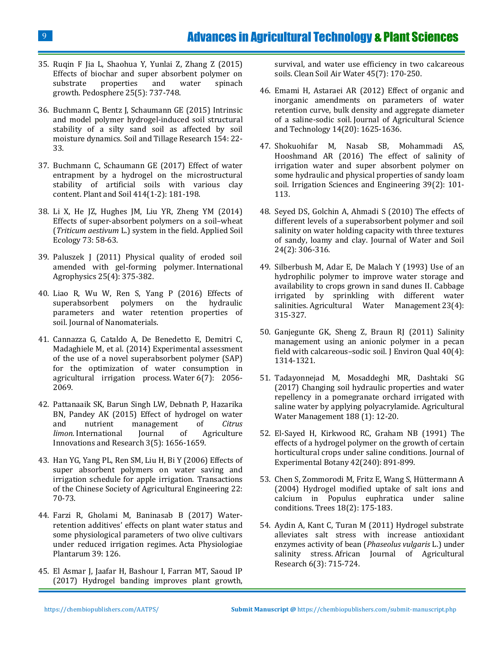- 35. [Ruqin F Jia L, Shaohua Y, Yunlai Z, Zhang Z \(2015\)](https://www.sciencedirect.com/science/article/pii/S1002016015300552)  Effects of biochar and super absorbent polymer on<br>substrate properties and water spinach [substrate properties and water spinach](https://www.sciencedirect.com/science/article/pii/S1002016015300552)  growth. Pedosphere [25\(5\): 737-748.](https://www.sciencedirect.com/science/article/pii/S1002016015300552)
- 36. [Buchmann C, Bentz J, Schaumann GE \(2015\) Intrinsic](https://www.sciencedirect.com/science/article/pii/S0167198715001312)  [and model polymer hydrogel-induced soil structural](https://www.sciencedirect.com/science/article/pii/S0167198715001312)  [stability of a silty sand soil as affected by soil](https://www.sciencedirect.com/science/article/pii/S0167198715001312)  moisture dynamics. [Soil and Tillage Research](https://www.sciencedirect.com/science/article/pii/S0167198715001312) 154: 22- [33.](https://www.sciencedirect.com/science/article/pii/S0167198715001312)
- 37. [Buchmann C, Schaumann GE \(2017\) Effect of water](https://link.springer.com/article/10.1007/s11104-016-3110-z)  [entrapment by a hydrogel on the microstructural](https://link.springer.com/article/10.1007/s11104-016-3110-z)  [stability of artificial soils with various clay](https://link.springer.com/article/10.1007/s11104-016-3110-z)  content. Plant and Soil [414\(1-2\): 181-198.](https://link.springer.com/article/10.1007/s11104-016-3110-z)
- 38. [Li X, He JZ, Hughes JM, Liu YR, Zheng YM \(2014\)](https://www.sciencedirect.com/science/article/pii/S0929139313002084)  [Effects of super-absorbent polymers on a soil](https://www.sciencedirect.com/science/article/pii/S0929139313002084)–wheat (*Triticum aestivum* [L.\) system in the field.](https://www.sciencedirect.com/science/article/pii/S0929139313002084) Applied Soil [Ecology](https://www.sciencedirect.com/science/article/pii/S0929139313002084) 73: 58-63.
- 39. [Paluszek J \(2011\) Physical quality of eroded soil](http://www.old.international-agrophysics.org/en/issues.html?stan=detail&vol=25&numer=4&paper=955&i=10)  [amended with gel-forming polymer.](http://www.old.international-agrophysics.org/en/issues.html?stan=detail&vol=25&numer=4&paper=955&i=10) International [Agrophysics](http://www.old.international-agrophysics.org/en/issues.html?stan=detail&vol=25&numer=4&paper=955&i=10) 25(4): 375-382.
- 40. [Liao R, Wu W, Ren S, Yang P \(2016\) Effects of](https://www.hindawi.com/journals/jnm/2016/5403976/)  [superabsorbent polymers on the hydraulic](https://www.hindawi.com/journals/jnm/2016/5403976/)  [parameters and water retention properties of](https://www.hindawi.com/journals/jnm/2016/5403976/)  soil. [Journal of Nanomaterials.](https://www.hindawi.com/journals/jnm/2016/5403976/)
- 41. [Cannazza G, Cataldo A, De Benedetto E, Demitri C,](https://www.mdpi.com/2073-4441/6/7/2056)  [Madaghiele M, et al. \(2014\) Experimental assessment](https://www.mdpi.com/2073-4441/6/7/2056)  [of the use of a novel superabsorbent polymer \(SAP\)](https://www.mdpi.com/2073-4441/6/7/2056)  [for the optimization of](https://www.mdpi.com/2073-4441/6/7/2056) water consumption in [agricultural irrigation process.](https://www.mdpi.com/2073-4441/6/7/2056) Water 6(7): 2056- [2069.](https://www.mdpi.com/2073-4441/6/7/2056)
- 42. [Pattanaaik SK, Barun Singh LW, Debnath P, Hazarika](https://ijair.org/administrator/components/com_jresearch/files/publications/IJAIR_1344_Final.pdf)  [BN, Pandey AK \(2015\) Effect of hydrogel on water](https://ijair.org/administrator/components/com_jresearch/files/publications/IJAIR_1344_Final.pdf)  [and nutrient management of](https://ijair.org/administrator/components/com_jresearch/files/publications/IJAIR_1344_Final.pdf) *Citrus limon*. [International Journal of Agriculture](https://ijair.org/administrator/components/com_jresearch/files/publications/IJAIR_1344_Final.pdf)  [Innovations and Research](https://ijair.org/administrator/components/com_jresearch/files/publications/IJAIR_1344_Final.pdf) 3(5): 1656-1659.
- 43. [Han YG, Yang PL, Ren SM, Liu H, Bi Y \(2006\) Effects of](http://en.cnki.com.cn/Article_en/CJFDTOTAL-NYGU200609013.htm)  [super absorbent polymers on water saving and](http://en.cnki.com.cn/Article_en/CJFDTOTAL-NYGU200609013.htm)  [irrigation schedule for apple irrigation. Transactions](http://en.cnki.com.cn/Article_en/CJFDTOTAL-NYGU200609013.htm)  [of the Chinese Society of Agricultural Engineering](http://en.cnki.com.cn/Article_en/CJFDTOTAL-NYGU200609013.htm) 22: [70-73.](http://en.cnki.com.cn/Article_en/CJFDTOTAL-NYGU200609013.htm)
- 44. [Farzi R, Gholami M, Baninasab B \(2017\) Water](https://link.springer.com/article/10.1007/s11738-017-2417-6)[retention additives' effects on plant water status and](https://link.springer.com/article/10.1007/s11738-017-2417-6)  [some physiological parameters of two olive cultivars](https://link.springer.com/article/10.1007/s11738-017-2417-6)  [under reduced irrigation regimes.](https://link.springer.com/article/10.1007/s11738-017-2417-6) Acta Physiologiae [Plantarum 39:](https://link.springer.com/article/10.1007/s11738-017-2417-6) 126.
- 45. [El Asmar J, Jaafar H, Bashour I, Farran MT, Saoud IP](https://onlinelibrary.wiley.com/doi/abs/10.1002/clen.201700251)  [\(2017\) Hydrogel banding improves plant growth,](https://onlinelibrary.wiley.com/doi/abs/10.1002/clen.201700251)

[survival, and water use efficiency in two calcareous](https://onlinelibrary.wiley.com/doi/abs/10.1002/clen.201700251)  soils. [Clean Soil Air Water](https://onlinelibrary.wiley.com/doi/abs/10.1002/clen.201700251) 45(7): 170-250.

- 46. [Emami H, Astaraei AR \(2012\) Effect of organic and](http://jast-old.modares.ac.ir/article_4924_173f4cd8181ea558620f8b8757d540d6.pdf)  [inorganic amendments on parameters of water](http://jast-old.modares.ac.ir/article_4924_173f4cd8181ea558620f8b8757d540d6.pdf)  [retention curve, bulk density and aggregate diameter](http://jast-old.modares.ac.ir/article_4924_173f4cd8181ea558620f8b8757d540d6.pdf)  of a saline-sodic soil. [Journal of Agricultural Science](http://jast-old.modares.ac.ir/article_4924_173f4cd8181ea558620f8b8757d540d6.pdf)  [and Technology](http://jast-old.modares.ac.ir/article_4924_173f4cd8181ea558620f8b8757d540d6.pdf) 14(20): 1625-1636.
- 47. [Shokuohifar M, Nasab SB, Mohammadi AS,](http://www.sid.ir/En/Journal/ViewPaper.aspx?ID=539502)  [Hooshmand AR \(2016\) The](http://www.sid.ir/En/Journal/ViewPaper.aspx?ID=539502) effect of salinity of [irrigation water and super absorbent polymer on](http://www.sid.ir/En/Journal/ViewPaper.aspx?ID=539502)  [some hydraulic and physical properties of sandy loam](http://www.sid.ir/En/Journal/ViewPaper.aspx?ID=539502)  [soil. Irrigation Sciences and Engineering 39\(2\): 101-](http://www.sid.ir/En/Journal/ViewPaper.aspx?ID=539502) [113.](http://www.sid.ir/En/Journal/ViewPaper.aspx?ID=539502)
- 48. [Seyed DS, Golchin A, Ahmadi S \(2010\) The effects of](http://www.sid.ir/En/Journal/ViewPaper.aspx?ID=177235)  [different levels of a superabsorbent polymer and soil](http://www.sid.ir/En/Journal/ViewPaper.aspx?ID=177235)  [salinity on water holding capacity with three textures](http://www.sid.ir/En/Journal/ViewPaper.aspx?ID=177235)  [of sandy, loamy and clay. Journal of Water and Soil](http://www.sid.ir/En/Journal/ViewPaper.aspx?ID=177235)  [24\(2\): 306-316.](http://www.sid.ir/En/Journal/ViewPaper.aspx?ID=177235)
- 49. [Silberbush M, Adar E, De Malach Y \(1993\) Use of an](https://www.sciencedirect.com/science/article/pii/037837749390043A)  [hydrophilic polymer to improve water storage and](https://www.sciencedirect.com/science/article/pii/037837749390043A)  [availability to crops grown in sand dunes II. Cabbage](https://www.sciencedirect.com/science/article/pii/037837749390043A)  [irrigated by sprinkling with different water](https://www.sciencedirect.com/science/article/pii/037837749390043A)  salinities. [Agricultural Water Management](https://www.sciencedirect.com/science/article/pii/037837749390043A) 23(4): [315-327.](https://www.sciencedirect.com/science/article/pii/037837749390043A)
- 50. [Ganjegunte GK, Sheng Z, Braun RJ \(2011\) Salinity](https://www.ncbi.nlm.nih.gov/pubmed/21712601)  [management using an anionic polymer in a pecan](https://www.ncbi.nlm.nih.gov/pubmed/21712601)  [field with calcareous](https://www.ncbi.nlm.nih.gov/pubmed/21712601)–sodic soil. J Environ Qual 40(4): [1314-1321.](https://www.ncbi.nlm.nih.gov/pubmed/21712601)
- 51. [Tadayonnejad M, Mosaddeghi MR, Dashtaki SG](https://www.sciencedirect.com/science/article/pii/S0378377417301178)  [\(2017\) Changing soil hydraulic properties and water](https://www.sciencedirect.com/science/article/pii/S0378377417301178)  [repellency in a pomegranate orchard irrigated with](https://www.sciencedirect.com/science/article/pii/S0378377417301178)  [saline water by applying polyacrylamide. Agricultural](https://www.sciencedirect.com/science/article/pii/S0378377417301178)  [Water Management 188](https://www.sciencedirect.com/science/article/pii/S0378377417301178) (1): 12-20.
- 52. [El-Sayed H, Kirkwood RC, Graham NB \(1991\) The](https://www.jstor.org/stable/23692899?seq=1#page_scan_tab_contents) [effects of a hydrogel polymer on the growth of certain](https://www.jstor.org/stable/23692899?seq=1#page_scan_tab_contents)  [horticultural crops under saline conditions. Journal of](https://www.jstor.org/stable/23692899?seq=1#page_scan_tab_contents)  [Experimental Botany 42\(240\):](https://www.jstor.org/stable/23692899?seq=1#page_scan_tab_contents) 891-899.
- 53. [Chen S, Zommorodi M, Fritz E, Wang S, Hüttermann A](https://link.springer.com/article/10.1007/s00468-003-0267-x)  [\(2004\) Hydrogel modified uptake of salt ions and](https://link.springer.com/article/10.1007/s00468-003-0267-x)  [calcium in Populus euphratica under saline](https://link.springer.com/article/10.1007/s00468-003-0267-x)  conditions. Trees [18\(2\): 175-183.](https://link.springer.com/article/10.1007/s00468-003-0267-x)
- 54. [Aydin A, Kant C, Turan M \(2011\) Hydrogel substrate](https://academicjournals.org/article/article1380884027_Aydin%20et%20al.pdf)  alleviates salt [stress with increase antioxidant](https://academicjournals.org/article/article1380884027_Aydin%20et%20al.pdf)  [enzymes activity of bean \(](https://academicjournals.org/article/article1380884027_Aydin%20et%20al.pdf)*Phaseolus vulgaris* L.) under salinity stress. [African Journal of Agricultural](https://academicjournals.org/article/article1380884027_Aydin%20et%20al.pdf)  Research [6\(3\): 715-724.](https://academicjournals.org/article/article1380884027_Aydin%20et%20al.pdf)